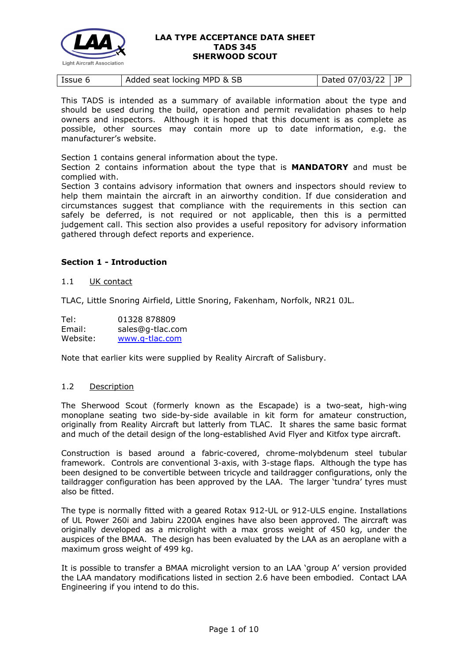

|--|

This TADS is intended as a summary of available information about the type and should be used during the build, operation and permit revalidation phases to help owners and inspectors. Although it is hoped that this document is as complete as possible, other sources may contain more up to date information, e.g. the manufacturer's website.

Section 1 contains general information about the type.

Section 2 contains information about the type that is **MANDATORY** and must be complied with.

Section 3 contains advisory information that owners and inspectors should review to help them maintain the aircraft in an airworthy condition. If due consideration and circumstances suggest that compliance with the requirements in this section can safely be deferred, is not required or not applicable, then this is a permitted judgement call. This section also provides a useful repository for advisory information gathered through defect reports and experience.

## **Section 1 - Introduction**

### 1.1 UK contact

TLAC, Little Snoring Airfield, Little Snoring, Fakenham, Norfolk, NR21 0JL.

| Tel:     | 01328 878809     |
|----------|------------------|
| Email:   | sales@g-tlac.com |
| Website: | www.g-tlac.com   |

Note that earlier kits were supplied by Reality Aircraft of Salisbury.

## 1.2 Description

The Sherwood Scout (formerly known as the Escapade) is a two-seat, high-wing monoplane seating two side-by-side available in kit form for amateur construction, originally from Reality Aircraft but latterly from TLAC. It shares the same basic format and much of the detail design of the long-established Avid Flyer and Kitfox type aircraft.

Construction is based around a fabric-covered, chrome-molybdenum steel tubular framework. Controls are conventional 3-axis, with 3-stage flaps. Although the type has been designed to be convertible between tricycle and taildragger configurations, only the taildragger configuration has been approved by the LAA. The larger 'tundra' tyres must also be fitted.

The type is normally fitted with a geared Rotax 912-UL or 912-ULS engine. Installations of UL Power 260i and Jabiru 2200A engines have also been approved. The aircraft was originally developed as a microlight with a max gross weight of 450 kg, under the auspices of the BMAA. The design has been evaluated by the LAA as an aeroplane with a maximum gross weight of 499 kg.

It is possible to transfer a BMAA microlight version to an LAA 'group A' version provided the LAA mandatory modifications listed in section 2.6 have been embodied. Contact LAA Engineering if you intend to do this.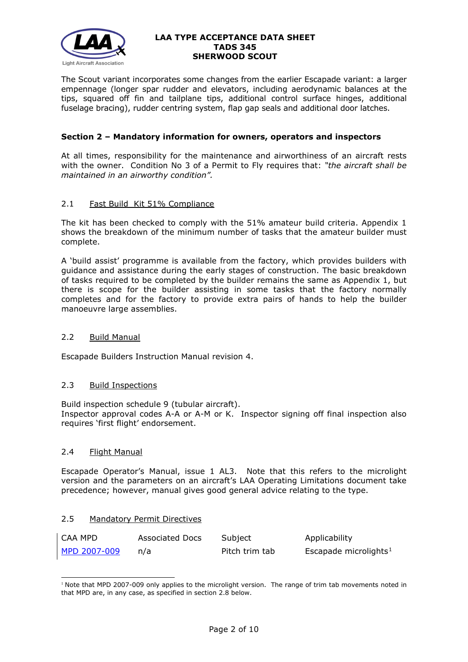

The Scout variant incorporates some changes from the earlier Escapade variant: a larger empennage (longer spar rudder and elevators, including aerodynamic balances at the tips, squared off fin and tailplane tips, additional control surface hinges, additional fuselage bracing), rudder centring system, flap gap seals and additional door latches.

## **Section 2 – Mandatory information for owners, operators and inspectors**

At all times, responsibility for the maintenance and airworthiness of an aircraft rests with the owner. Condition No 3 of a Permit to Fly requires that: *"the aircraft shall be maintained in an airworthy condition".* 

## 2.1 Fast Build Kit 51% Compliance

The kit has been checked to comply with the 51% amateur build criteria. Appendix 1 shows the breakdown of the minimum number of tasks that the amateur builder must complete.

A 'build assist' programme is available from the factory, which provides builders with guidance and assistance during the early stages of construction. The basic breakdown of tasks required to be completed by the builder remains the same as Appendix 1, but there is scope for the builder assisting in some tasks that the factory normally completes and for the factory to provide extra pairs of hands to help the builder manoeuvre large assemblies.

## 2.2 Build Manual

Escapade Builders Instruction Manual revision 4.

## 2.3 Build Inspections

Build inspection schedule 9 (tubular aircraft). Inspector approval codes A-A or A-M or K. Inspector signing off final inspection also requires 'first flight' endorsement.

## 2.4 Flight Manual

Escapade Operator's Manual, issue 1 AL3. Note that this refers to the microlight version and the parameters on an aircraft's LAA Operating Limitations document take precedence; however, manual gives good general advice relating to the type.

## 2.5 Mandatory Permit Directives

| CAA MPD      | Associated Docs | Subject        | Applicability                     |
|--------------|-----------------|----------------|-----------------------------------|
| MPD 2007-009 | n/a             | Pitch trim tab | Escapade microlights <sup>1</sup> |

<span id="page-1-0"></span><sup>&</sup>lt;sup>1</sup> Note that MPD 2007-009 only applies to the microlight version. The range of trim tab movements noted in that MPD are, in any case, as specified in section 2.8 below.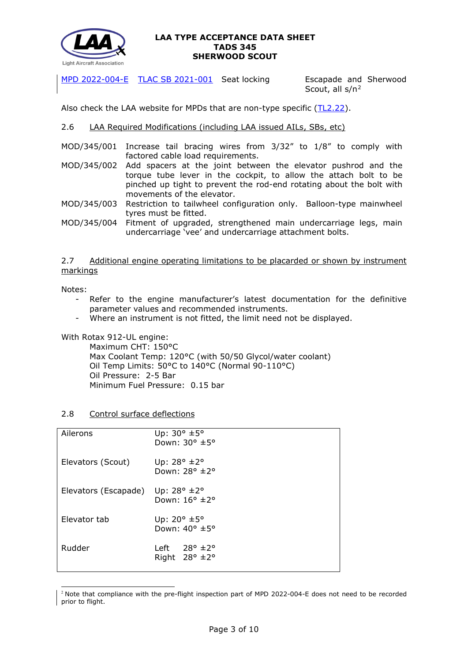

[MPD 2022-004-E](http://www.lightaircraftassociation.co.uk/engineering/TADs/345/MPD%202022-004-E.pdf) [TLAC SB 2021-001](http://www.lightaircraftassociation.co.uk/engineering/TADs/345/TLAC%20SB%202021-001%20Escapade%20Seat.pdf) Seat locking Escapade and Sherwood

Scout, all s/n[2](#page-2-0)

Also check the LAA website for MPDs that are non-type specific [\(TL2.22\)](http://www.lightaircraftassociation.co.uk/engineering/TechnicalLeaflets/Operating%20An%20Aircraft/TL%202.22%20non-type%20specific%20MPDs.pdf).

## 2.6 LAA Required Modifications (including LAA issued AILs, SBs, etc)

- MOD/345/001 Increase tail bracing wires from 3/32" to 1/8" to comply with factored cable load requirements.
- MOD/345/002 Add spacers at the joint between the elevator pushrod and the torque tube lever in the cockpit, to allow the attach bolt to be pinched up tight to prevent the rod-end rotating about the bolt with movements of the elevator.
- MOD/345/003 Restriction to tailwheel configuration only. Balloon-type mainwheel tyres must be fitted.

MOD/345/004 Fitment of upgraded, strengthened main undercarriage legs, main undercarriage 'vee' and undercarriage attachment bolts.

2.7 Additional engine operating limitations to be placarded or shown by instrument markings

Notes:

- Refer to the engine manufacturer's latest documentation for the definitive parameter values and recommended instruments.
- Where an instrument is not fitted, the limit need not be displayed.

With Rotax 912-UL engine:

Maximum CHT: 150°C Max Coolant Temp: 120°C (with 50/50 Glycol/water coolant) Oil Temp Limits: 50°C to 140°C (Normal 90-110°C) Oil Pressure: 2-5 Bar Minimum Fuel Pressure: 0.15 bar

## 2.8 Control surface deflections

| Ailerons             | Up: $30^\circ \pm 5^\circ$<br>Down: 30° ±5°                      |
|----------------------|------------------------------------------------------------------|
| Elevators (Scout)    | Up: $28^{\circ}$ $\pm 2^{\circ}$<br>Down: $28^\circ \pm 2^\circ$ |
| Elevators (Escapade) | Up: $28^{\circ}$ $\pm 2^{\circ}$<br>Down: $16^{\circ}$ ±2°       |
| Elevator tab         | Up: $20^\circ \pm 5^\circ$<br>Down: $40^{\circ}$ ±5°             |
| Rudder               | Left $28^\circ \pm 2^\circ$<br>Right $28^\circ \pm 2^\circ$      |
|                      |                                                                  |

<span id="page-2-0"></span><sup>&</sup>lt;sup>2</sup> Note that compliance with the pre-flight inspection part of MPD 2022-004-E does not need to be recorded prior to flight.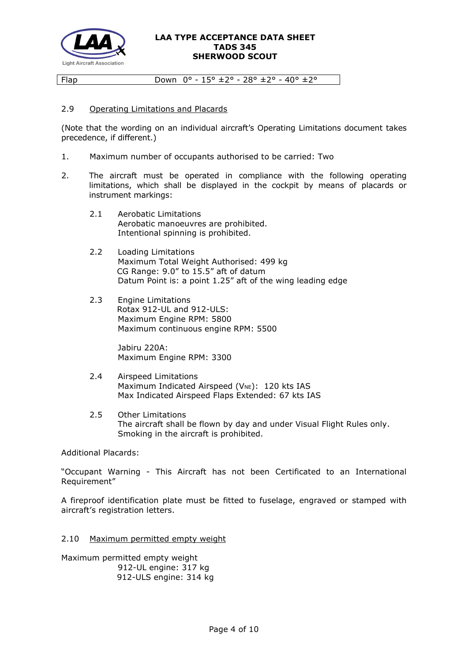

Flap Down  $0^{\circ}$  - 15°  $\pm$  2° - 28°  $\pm$  2° - 40°  $\pm$  2°

## 2.9 Operating Limitations and Placards

(Note that the wording on an individual aircraft's Operating Limitations document takes precedence, if different.)

- 1. Maximum number of occupants authorised to be carried: Two
- 2. The aircraft must be operated in compliance with the following operating limitations, which shall be displayed in the cockpit by means of placards or instrument markings:
	- 2.1 Aerobatic Limitations Aerobatic manoeuvres are prohibited. Intentional spinning is prohibited.
	- 2.2 Loading Limitations Maximum Total Weight Authorised: 499 kg CG Range: 9.0" to 15.5" aft of datum Datum Point is: a point 1.25" aft of the wing leading edge
	- 2.3 Engine Limitations Rotax 912-UL and 912-ULS: Maximum Engine RPM: 5800 Maximum continuous engine RPM: 5500

 Jabiru 220A: Maximum Engine RPM: 3300

- 2.4 Airspeed Limitations Maximum Indicated Airspeed ( $V_{NE}$ ): 120 kts IAS Max Indicated Airspeed Flaps Extended: 67 kts IAS
- 2.5 Other Limitations The aircraft shall be flown by day and under Visual Flight Rules only. Smoking in the aircraft is prohibited.

Additional Placards:

"Occupant Warning - This Aircraft has not been Certificated to an International Requirement"

A fireproof identification plate must be fitted to fuselage, engraved or stamped with aircraft's registration letters.

#### 2.10 Maximum permitted empty weight

Maximum permitted empty weight 912-UL engine: 317 kg 912-ULS engine: 314 kg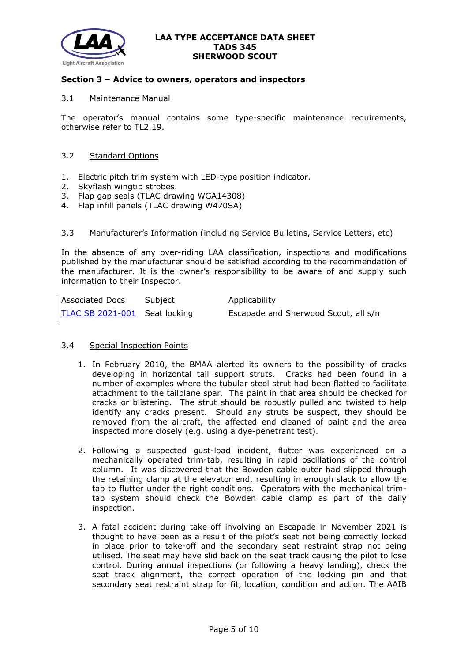

### **Section 3 – Advice to owners, operators and inspectors**

### 3.1 Maintenance Manual

The operator's manual contains some type-specific maintenance requirements, otherwise refer to TL2.19.

### 3.2 Standard Options

- 1. Electric pitch trim system with LED-type position indicator.
- 2. Skyflash wingtip strobes.
- 3. Flap gap seals (TLAC drawing WGA14308)
- 4. Flap infill panels (TLAC drawing W470SA)

### 3.3 Manufacturer's Information (including Service Bulletins, Service Letters, etc)

In the absence of any over-riding LAA classification, inspections and modifications published by the manufacturer should be satisfied according to the recommendation of the manufacturer. It is the owner's responsibility to be aware of and supply such information to their Inspector.

| Associated Docs               | Subject | Applicability                        |
|-------------------------------|---------|--------------------------------------|
| TLAC SB 2021-001 Seat locking |         | Escapade and Sherwood Scout, all s/n |

## 3.4 Special Inspection Points

- 1. In February 2010, the BMAA alerted its owners to the possibility of cracks developing in horizontal tail support struts. Cracks had been found in a number of examples where the tubular steel strut had been flatted to facilitate attachment to the tailplane spar. The paint in that area should be checked for cracks or blistering. The strut should be robustly pulled and twisted to help identify any cracks present. Should any struts be suspect, they should be removed from the aircraft, the affected end cleaned of paint and the area inspected more closely (e.g. using a dye-penetrant test).
- 2. Following a suspected gust-load incident, flutter was experienced on a mechanically operated trim-tab, resulting in rapid oscillations of the control column. It was discovered that the Bowden cable outer had slipped through the retaining clamp at the elevator end, resulting in enough slack to allow the tab to flutter under the right conditions. Operators with the mechanical trimtab system should check the Bowden cable clamp as part of the daily inspection.
- 3. A fatal accident during take-off involving an Escapade in November 2021 is thought to have been as a result of the pilot's seat not being correctly locked in place prior to take-off and the secondary seat restraint strap not being utilised. The seat may have slid back on the seat track causing the pilot to lose control. During annual inspections (or following a heavy landing), check the seat track alignment, the correct operation of the locking pin and that secondary seat restraint strap for fit, location, condition and action. The AAIB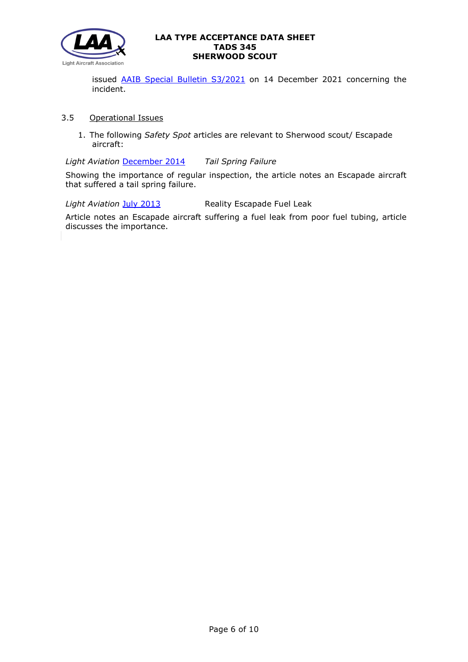

issued **AAIB Special Bulletin S3/2021** on 14 December 2021 concerning the incident.

# 3.5 Operational Issues

1. The following *Safety Spot* articles are relevant to Sherwood scout/ Escapade aircraft:

*Light Aviation* [December](http://www.lightaircraftassociation.co.uk/2014/Mag/Dec/SafetySpot.pdf) 2014 *Tail Spring Failure*

Showing the importance of regular inspection, the article notes an Escapade aircraft that suffered a tail spring failure.

*Light Aviation* July [2013](http://www.lightaircraftassociation.co.uk/2013/Magazine/July/safety_spot_jul.pdf) Reality Escapade Fuel Leak

Article notes an Escapade aircraft suffering a fuel leak from poor fuel tubing, article discusses the importance.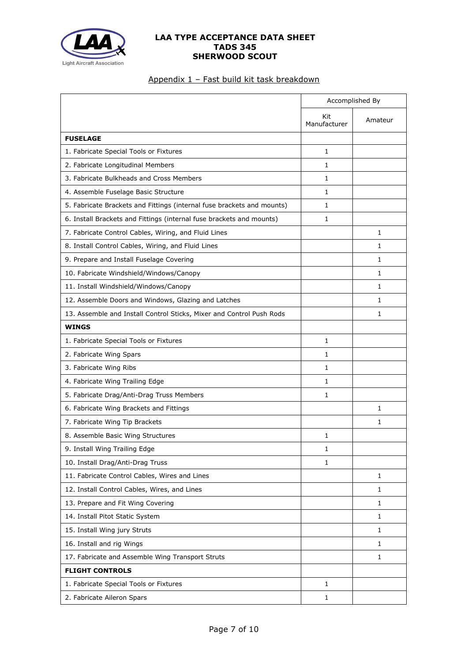

# Appendix 1 – Fast build kit task breakdown

|                                                                        |                     | Accomplished By |
|------------------------------------------------------------------------|---------------------|-----------------|
|                                                                        | Kit<br>Manufacturer | Amateur         |
| <b>FUSELAGE</b>                                                        |                     |                 |
| 1. Fabricate Special Tools or Fixtures                                 | $\mathbf{1}$        |                 |
| 2. Fabricate Longitudinal Members                                      | 1                   |                 |
| 3. Fabricate Bulkheads and Cross Members                               | 1                   |                 |
| 4. Assemble Fuselage Basic Structure                                   | 1                   |                 |
| 5. Fabricate Brackets and Fittings (internal fuse brackets and mounts) | $\mathbf{1}$        |                 |
| 6. Install Brackets and Fittings (internal fuse brackets and mounts)   | 1                   |                 |
| 7. Fabricate Control Cables, Wiring, and Fluid Lines                   |                     | $\mathbf{1}$    |
| 8. Install Control Cables, Wiring, and Fluid Lines                     |                     | 1               |
| 9. Prepare and Install Fuselage Covering                               |                     | $\mathbf{1}$    |
| 10. Fabricate Windshield/Windows/Canopy                                |                     | 1               |
| 11. Install Windshield/Windows/Canopy                                  |                     | 1               |
| 12. Assemble Doors and Windows, Glazing and Latches                    |                     | 1               |
| 13. Assemble and Install Control Sticks, Mixer and Control Push Rods   |                     | 1               |
| <b>WINGS</b>                                                           |                     |                 |
| 1. Fabricate Special Tools or Fixtures                                 | 1                   |                 |
| 2. Fabricate Wing Spars                                                | 1                   |                 |
| 3. Fabricate Wing Ribs                                                 | 1                   |                 |
| 4. Fabricate Wing Trailing Edge                                        | 1                   |                 |
| 5. Fabricate Drag/Anti-Drag Truss Members                              | 1                   |                 |
| 6. Fabricate Wing Brackets and Fittings                                |                     | 1               |
| 7. Fabricate Wing Tip Brackets                                         |                     | 1               |
| 8. Assemble Basic Wing Structures                                      | 1                   |                 |
| 9. Install Wing Trailing Edge                                          | $\mathbf{1}$        |                 |
| 10. Install Drag/Anti-Drag Truss                                       | 1                   |                 |
| 11. Fabricate Control Cables, Wires and Lines                          |                     | 1               |
| 12. Install Control Cables, Wires, and Lines                           |                     | 1               |
| 13. Prepare and Fit Wing Covering                                      |                     | 1               |
| 14. Install Pitot Static System                                        |                     | $\mathbf{1}$    |
| 15. Install Wing jury Struts                                           |                     | $\mathbf{1}$    |
| 16. Install and rig Wings                                              |                     | $\mathbf{1}$    |
| 17. Fabricate and Assemble Wing Transport Struts                       |                     | 1               |
| <b>FLIGHT CONTROLS</b>                                                 |                     |                 |
| 1. Fabricate Special Tools or Fixtures                                 | 1                   |                 |
| 2. Fabricate Aileron Spars                                             | 1                   |                 |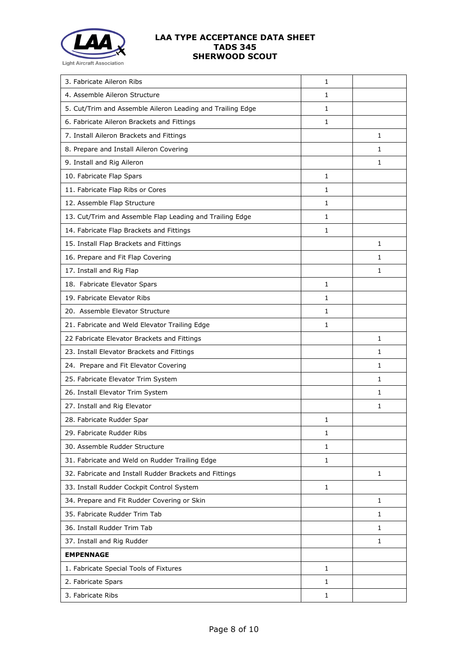

| 3. Fabricate Aileron Ribs                                  | 1            |              |
|------------------------------------------------------------|--------------|--------------|
| 4. Assemble Aileron Structure                              | 1            |              |
| 5. Cut/Trim and Assemble Aileron Leading and Trailing Edge | 1            |              |
| 6. Fabricate Aileron Brackets and Fittings                 | 1            |              |
| 7. Install Aileron Brackets and Fittings                   |              | $\mathbf{1}$ |
| 8. Prepare and Install Aileron Covering                    |              | 1            |
| 9. Install and Rig Aileron                                 |              | $\mathbf{1}$ |
| 10. Fabricate Flap Spars                                   | 1            |              |
| 11. Fabricate Flap Ribs or Cores                           | 1            |              |
| 12. Assemble Flap Structure                                | 1            |              |
| 13. Cut/Trim and Assemble Flap Leading and Trailing Edge   | 1            |              |
| 14. Fabricate Flap Brackets and Fittings                   | 1            |              |
| 15. Install Flap Brackets and Fittings                     |              | $\mathbf{1}$ |
| 16. Prepare and Fit Flap Covering                          |              | 1            |
| 17. Install and Rig Flap                                   |              | $\mathbf{1}$ |
| 18. Fabricate Elevator Spars                               | 1            |              |
| 19. Fabricate Elevator Ribs                                | 1            |              |
| 20. Assemble Elevator Structure                            | 1            |              |
| 21. Fabricate and Weld Elevator Trailing Edge              | 1            |              |
| 22 Fabricate Elevator Brackets and Fittings                |              | $\mathbf{1}$ |
| 23. Install Elevator Brackets and Fittings                 |              | $\mathbf{1}$ |
| 24. Prepare and Fit Elevator Covering                      |              | 1            |
| 25. Fabricate Elevator Trim System                         |              | 1            |
| 26. Install Elevator Trim System                           |              | 1            |
| 27. Install and Rig Elevator                               |              | 1            |
| 28. Fabricate Rudder Spar                                  | 1            |              |
| 29. Fabricate Rudder Ribs                                  | 1            |              |
| 30. Assemble Rudder Structure                              | 1            |              |
| 31. Fabricate and Weld on Rudder Trailing Edge             | 1            |              |
| 32. Fabricate and Install Rudder Brackets and Fittings     |              | $\mathbf{1}$ |
| 33. Install Rudder Cockpit Control System                  | $\mathbf{1}$ |              |
| 34. Prepare and Fit Rudder Covering or Skin                |              | 1            |
| 35. Fabricate Rudder Trim Tab                              |              | 1            |
| 36. Install Rudder Trim Tab                                |              | $\mathbf{1}$ |
| 37. Install and Rig Rudder                                 |              | 1            |
| <b>EMPENNAGE</b>                                           |              |              |
| 1. Fabricate Special Tools of Fixtures                     | $\mathbf{1}$ |              |
| 2. Fabricate Spars                                         | 1            |              |
| 3. Fabricate Ribs                                          | $\mathbf{1}$ |              |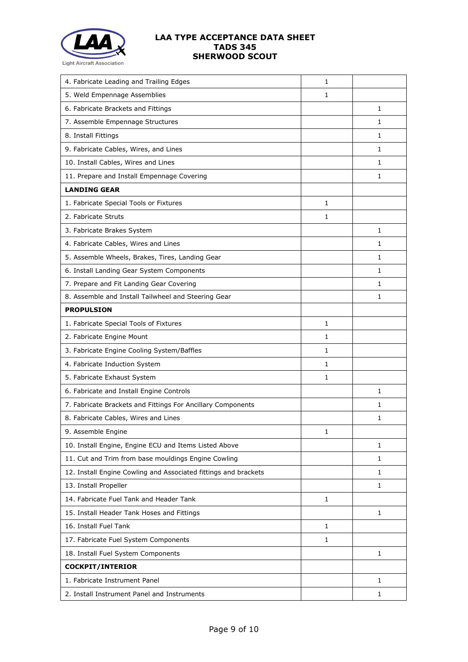

| 4. Fabricate Leading and Trailing Edges                         | 1            |              |
|-----------------------------------------------------------------|--------------|--------------|
| 5. Weld Empennage Assemblies                                    | 1            |              |
| 6. Fabricate Brackets and Fittings                              |              | 1            |
| 7. Assemble Empennage Structures                                |              | 1            |
| 8. Install Fittings                                             |              | 1            |
| 9. Fabricate Cables, Wires, and Lines                           |              | 1            |
| 10. Install Cables, Wires and Lines                             |              | $\mathbf{1}$ |
| 11. Prepare and Install Empennage Covering                      |              | 1            |
| <b>LANDING GEAR</b>                                             |              |              |
| 1. Fabricate Special Tools or Fixtures                          | 1            |              |
| 2. Fabricate Struts                                             | 1            |              |
| 3. Fabricate Brakes System                                      |              | 1            |
| 4. Fabricate Cables, Wires and Lines                            |              | $\mathbf{1}$ |
| 5. Assemble Wheels, Brakes, Tires, Landing Gear                 |              | $\mathbf{1}$ |
| 6. Install Landing Gear System Components                       |              | 1            |
| 7. Prepare and Fit Landing Gear Covering                        |              | 1            |
| 8. Assemble and Install Tailwheel and Steering Gear             |              | 1            |
| <b>PROPULSION</b>                                               |              |              |
| 1. Fabricate Special Tools of Fixtures                          | $\mathbf{1}$ |              |
| 2. Fabricate Engine Mount                                       | $\mathbf{1}$ |              |
| 3. Fabricate Engine Cooling System/Baffles                      | $\mathbf{1}$ |              |
| 4. Fabricate Induction System                                   | 1            |              |
| 5. Fabricate Exhaust System                                     | $\mathbf{1}$ |              |
| 6. Fabricate and Install Engine Controls                        |              | 1            |
| 7. Fabricate Brackets and Fittings For Ancillary Components     |              | 1            |
| 8. Fabricate Cables, Wires and Lines                            |              | 1            |
| 9. Assemble Engine                                              | $\mathbf{1}$ |              |
| 10. Install Engine, Engine ECU and Items Listed Above           |              | 1            |
| 11. Cut and Trim from base mouldings Engine Cowling             |              | 1            |
| 12. Install Engine Cowling and Associated fittings and brackets |              | 1            |
| 13. Install Propeller                                           |              | 1            |
| 14. Fabricate Fuel Tank and Header Tank                         | 1            |              |
| 15. Install Header Tank Hoses and Fittings                      |              | $\mathbf{1}$ |
| 16. Install Fuel Tank                                           | 1            |              |
| 17. Fabricate Fuel System Components                            | 1            |              |
| 18. Install Fuel System Components                              |              | $\mathbf{1}$ |
| <b>COCKPIT/INTERIOR</b>                                         |              |              |
| 1. Fabricate Instrument Panel                                   |              | 1            |
| 2. Install Instrument Panel and Instruments                     |              | 1            |